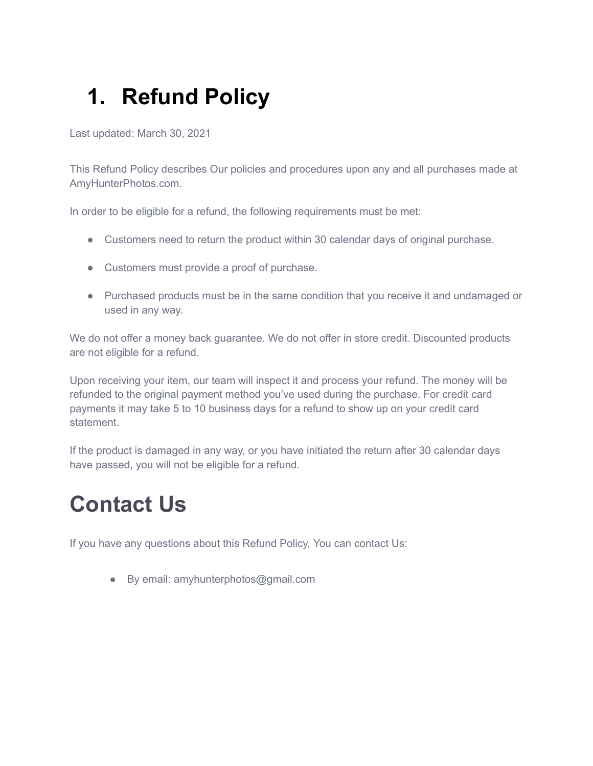# **1. Refund Policy**

Last updated: March 30, 2021

This Refund Policy describes Our policies and procedures upon any and all purchases made at AmyHunterPhotos.com.

In order to be eligible for a refund, the following requirements must be met:

- Customers need to return the product within 30 calendar days of original purchase.
- Customers must provide a proof of purchase.
- Purchased products must be in the same condition that you receive it and undamaged or used in any way.

We do not offer a money back guarantee. We do not offer in store credit. Discounted products are not eligible for a refund.

Upon receiving your item, our team will inspect it and process your refund. The money will be refunded to the original payment method you've used during the purchase. For credit card payments it may take 5 to 10 business days for a refund to show up on your credit card statement.

If the product is damaged in any way, or you have initiated the return after 30 calendar days have passed, you will not be eligible for a refund.

# **Contact Us**

If you have any questions about this Refund Policy, You can contact Us:

● By email: amyhunterphotos@gmail.com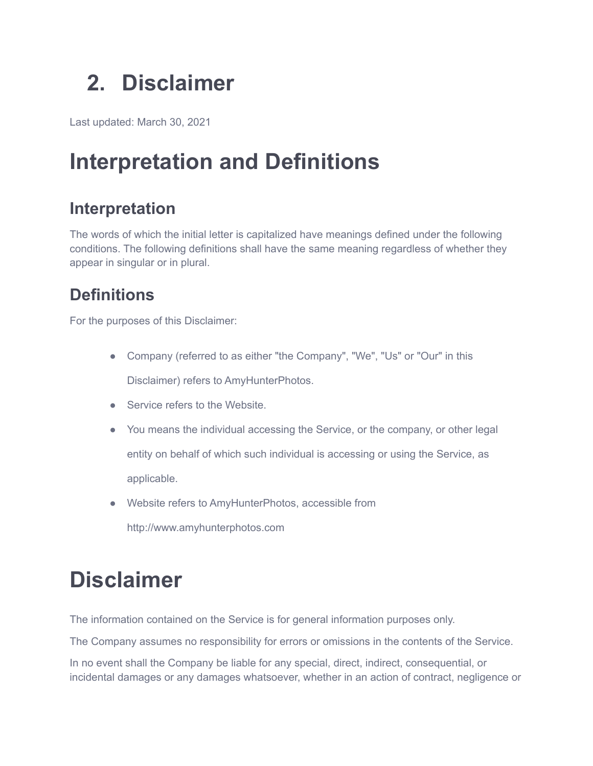# **2. Disclaimer**

Last updated: March 30, 2021

# **Interpretation and Definitions**

## **Interpretation**

The words of which the initial letter is capitalized have meanings defined under the following conditions. The following definitions shall have the same meaning regardless of whether they appear in singular or in plural.

#### **Definitions**

For the purposes of this Disclaimer:

- Company (referred to as either "the Company", "We", "Us" or "Our" in this Disclaimer) refers to AmyHunterPhotos.
- Service refers to the Website.
- You means the individual accessing the Service, or the company, or other legal entity on behalf of which such individual is accessing or using the Service, as applicable.
- Website refers to AmyHunterPhotos, accessible from

[http://www.amyhunterphotos.com](http://www.amyhunterphotos.com/)

## **Disclaimer**

The information contained on the Service is for general information purposes only.

The Company assumes no responsibility for errors or omissions in the contents of the Service.

In no event shall the Company be liable for any special, direct, indirect, consequential, or incidental damages or any damages whatsoever, whether in an action of contract, negligence or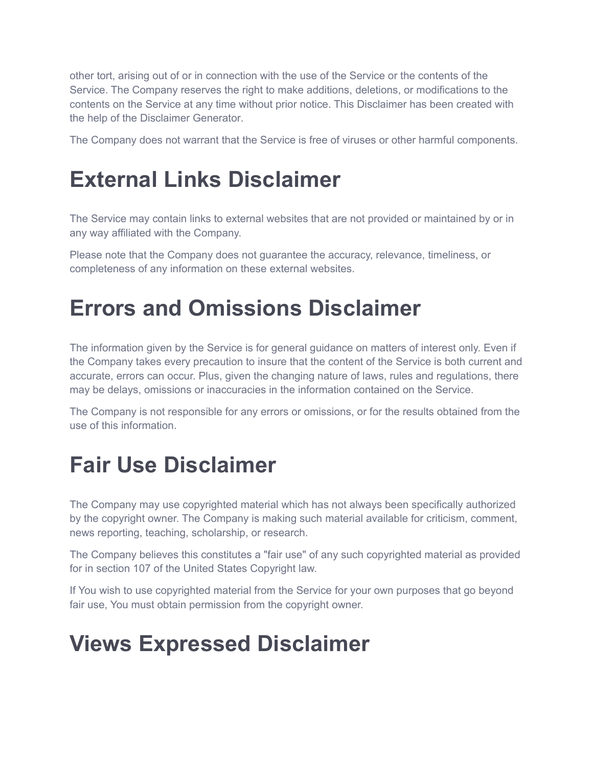other tort, arising out of or in connection with the use of the Service or the contents of the Service. The Company reserves the right to make additions, deletions, or modifications to the contents on the Service at any time without prior notice. This Disclaimer has been created with the help of the [Disclaimer](https://www.privacypolicies.com/disclaimer-generator/) Generator.

The Company does not warrant that the Service is free of viruses or other harmful components.

# **External Links Disclaimer**

The Service may contain links to external websites that are not provided or maintained by or in any way affiliated with the Company.

Please note that the Company does not guarantee the accuracy, relevance, timeliness, or completeness of any information on these external websites.

# **Errors and Omissions Disclaimer**

The information given by the Service is for general guidance on matters of interest only. Even if the Company takes every precaution to insure that the content of the Service is both current and accurate, errors can occur. Plus, given the changing nature of laws, rules and regulations, there may be delays, omissions or inaccuracies in the information contained on the Service.

The Company is not responsible for any errors or omissions, or for the results obtained from the use of this information.

# **Fair Use Disclaimer**

The Company may use copyrighted material which has not always been specifically authorized by the copyright owner. The Company is making such material available for criticism, comment, news reporting, teaching, scholarship, or research.

The Company believes this constitutes a "fair use" of any such copyrighted material as provided for in section 107 of the United States Copyright law.

If You wish to use copyrighted material from the Service for your own purposes that go beyond fair use, You must obtain permission from the copyright owner.

# **Views Expressed Disclaimer**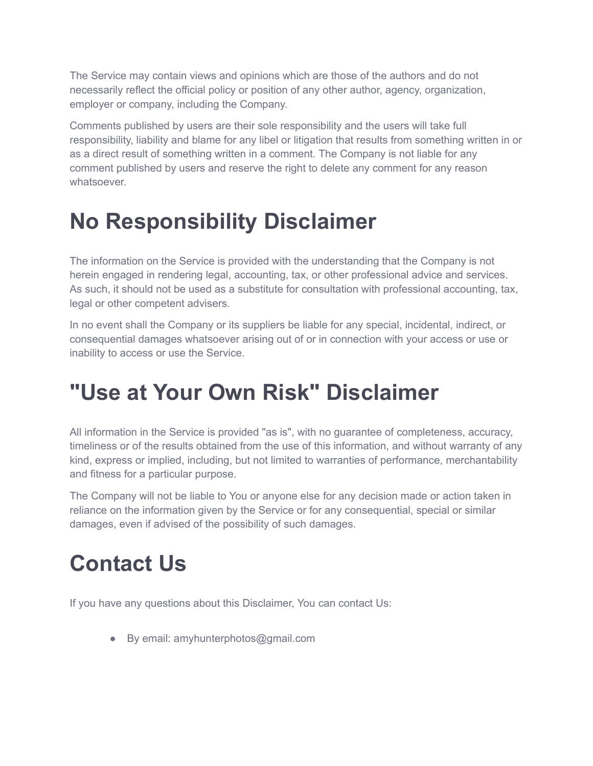The Service may contain views and opinions which are those of the authors and do not necessarily reflect the official policy or position of any other author, agency, organization, employer or company, including the Company.

Comments published by users are their sole responsibility and the users will take full responsibility, liability and blame for any libel or litigation that results from something written in or as a direct result of something written in a comment. The Company is not liable for any comment published by users and reserve the right to delete any comment for any reason whatsoever.

# **No Responsibility Disclaimer**

The information on the Service is provided with the understanding that the Company is not herein engaged in rendering legal, accounting, tax, or other professional advice and services. As such, it should not be used as a substitute for consultation with professional accounting, tax, legal or other competent advisers.

In no event shall the Company or its suppliers be liable for any special, incidental, indirect, or consequential damages whatsoever arising out of or in connection with your access or use or inability to access or use the Service.

# **"Use at Your Own Risk" Disclaimer**

All information in the Service is provided "as is", with no guarantee of completeness, accuracy, timeliness or of the results obtained from the use of this information, and without warranty of any kind, express or implied, including, but not limited to warranties of performance, merchantability and fitness for a particular purpose.

The Company will not be liable to You or anyone else for any decision made or action taken in reliance on the information given by the Service or for any consequential, special or similar damages, even if advised of the possibility of such damages.

# **Contact Us**

If you have any questions about this Disclaimer, You can contact Us:

● By email: amyhunterphotos@gmail.com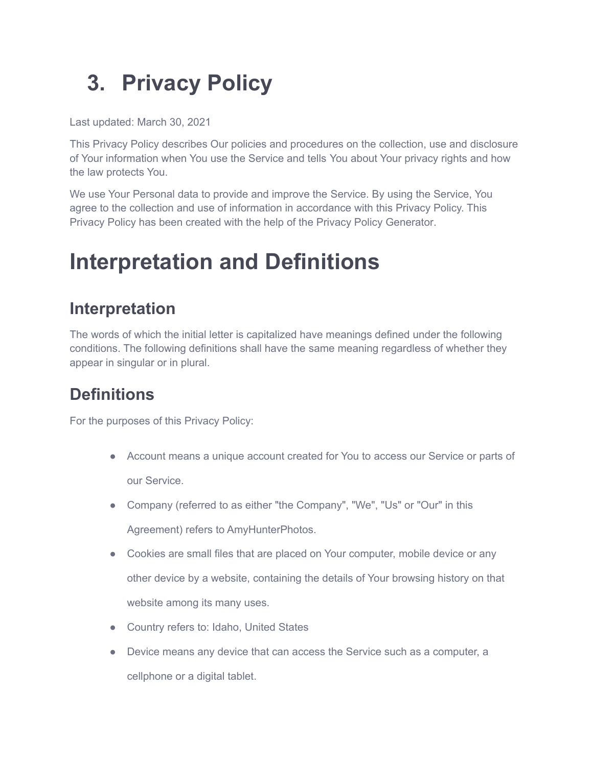# **3. Privacy Policy**

Last updated: March 30, 2021

This Privacy Policy describes Our policies and procedures on the collection, use and disclosure of Your information when You use the Service and tells You about Your privacy rights and how the law protects You.

We use Your Personal data to provide and improve the Service. By using the Service, You agree to the collection and use of information in accordance with this Privacy Policy. This Privacy Policy has been created with the help of the Privacy Policy [Generator.](https://www.privacypolicies.com/privacy-policy-generator/)

# **Interpretation and Definitions**

### **Interpretation**

The words of which the initial letter is capitalized have meanings defined under the following conditions. The following definitions shall have the same meaning regardless of whether they appear in singular or in plural.

### **Definitions**

For the purposes of this Privacy Policy:

- Account means a unique account created for You to access our Service or parts of our Service.
- Company (referred to as either "the Company", "We", "Us" or "Our" in this Agreement) refers to AmyHunterPhotos.
- Cookies are small files that are placed on Your computer, mobile device or any other device by a website, containing the details of Your browsing history on that website among its many uses.
- Country refers to: Idaho, United States
- Device means any device that can access the Service such as a computer, a cellphone or a digital tablet.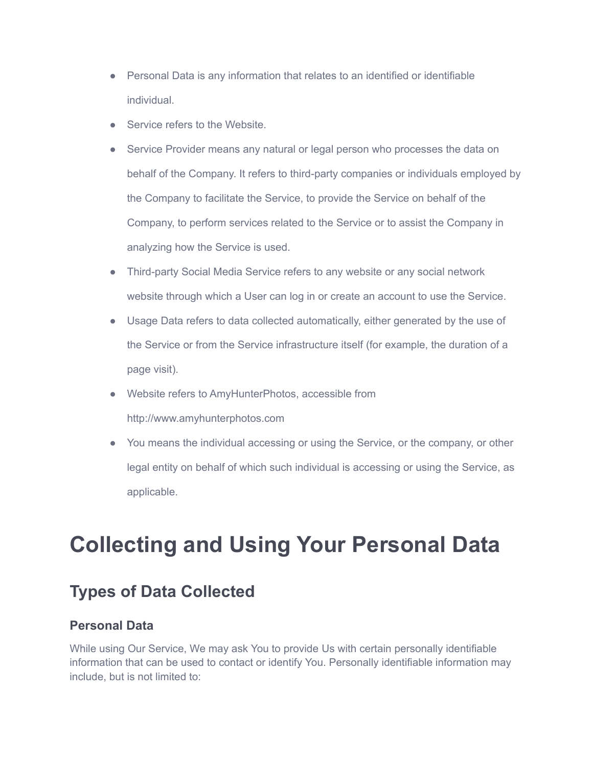- Personal Data is any information that relates to an identified or identifiable individual.
- Service refers to the Website.
- Service Provider means any natural or legal person who processes the data on behalf of the Company. It refers to third-party companies or individuals employed by the Company to facilitate the Service, to provide the Service on behalf of the Company, to perform services related to the Service or to assist the Company in analyzing how the Service is used.
- Third-party Social Media Service refers to any website or any social network website through which a User can log in or create an account to use the Service.
- Usage Data refers to data collected automatically, either generated by the use of the Service or from the Service infrastructure itself (for example, the duration of a page visit).
- Website refers to AmyHunterPhotos, accessible from [http://www.amyhunterphotos.com](http://www.amyhunterphotos.com/)
- You means the individual accessing or using the Service, or the company, or other legal entity on behalf of which such individual is accessing or using the Service, as applicable.

# **Collecting and Using Your Personal Data**

#### **Types of Data Collected**

#### **Personal Data**

While using Our Service, We may ask You to provide Us with certain personally identifiable information that can be used to contact or identify You. Personally identifiable information may include, but is not limited to: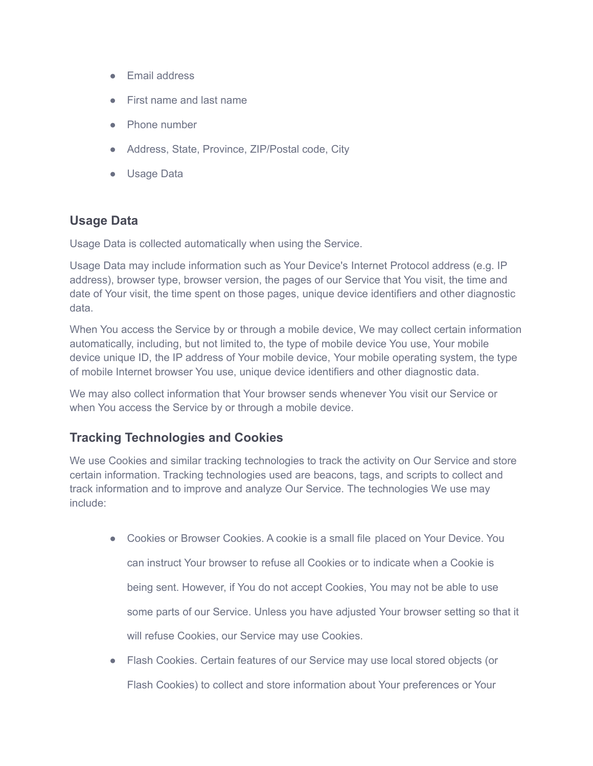- Email address
- First name and last name
- Phone number
- Address, State, Province, ZIP/Postal code, City
- Usage Data

#### **Usage Data**

Usage Data is collected automatically when using the Service.

Usage Data may include information such as Your Device's Internet Protocol address (e.g. IP address), browser type, browser version, the pages of our Service that You visit, the time and date of Your visit, the time spent on those pages, unique device identifiers and other diagnostic data.

When You access the Service by or through a mobile device, We may collect certain information automatically, including, but not limited to, the type of mobile device You use, Your mobile device unique ID, the IP address of Your mobile device, Your mobile operating system, the type of mobile Internet browser You use, unique device identifiers and other diagnostic data.

We may also collect information that Your browser sends whenever You visit our Service or when You access the Service by or through a mobile device.

#### **Tracking Technologies and Cookies**

We use Cookies and similar tracking technologies to track the activity on Our Service and store certain information. Tracking technologies used are beacons, tags, and scripts to collect and track information and to improve and analyze Our Service. The technologies We use may include:

- Cookies or Browser Cookies. A cookie is a small file placed on Your Device. You can instruct Your browser to refuse all Cookies or to indicate when a Cookie is being sent. However, if You do not accept Cookies, You may not be able to use some parts of our Service. Unless you have adjusted Your browser setting so that it will refuse Cookies, our Service may use Cookies.
- Flash Cookies. Certain features of our Service may use local stored objects (or Flash Cookies) to collect and store information about Your preferences or Your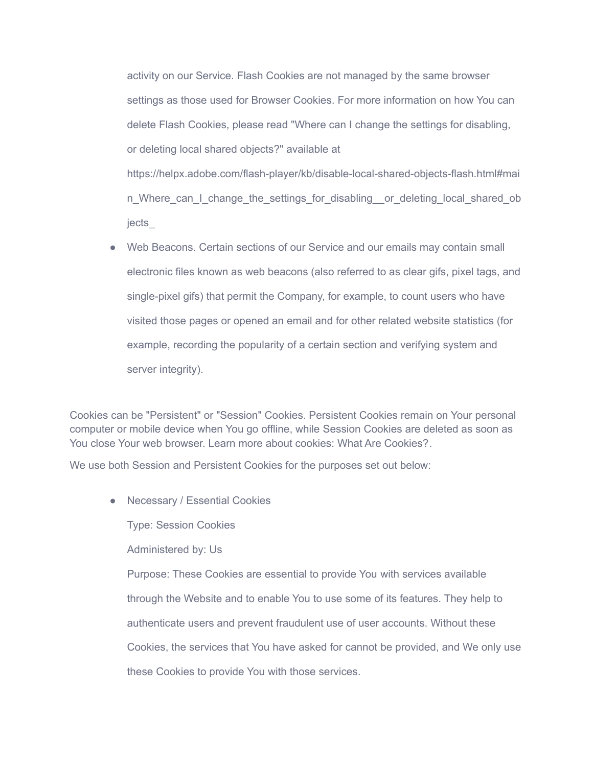activity on our Service. Flash Cookies are not managed by the same browser settings as those used for Browser Cookies. For more information on how You can delete Flash Cookies, please read "Where can I change the settings for disabling, or deleting local shared objects?" available at [https://helpx.adobe.com/flash-player/kb/disable-local-shared-objects-flash.html#mai](https://helpx.adobe.com/flash-player/kb/disable-local-shared-objects-flash.html#main_Where_can_I_change_the_settings_for_disabling__or_deleting_local_shared_objects_) n Where can I change the settings for disabling or deleting local shared ob [jects\\_](https://helpx.adobe.com/flash-player/kb/disable-local-shared-objects-flash.html#main_Where_can_I_change_the_settings_for_disabling__or_deleting_local_shared_objects_)

● Web Beacons. Certain sections of our Service and our emails may contain small electronic files known as web beacons (also referred to as clear gifs, pixel tags, and single-pixel gifs) that permit the Company, for example, to count users who have visited those pages or opened an email and for other related website statistics (for example, recording the popularity of a certain section and verifying system and server integrity).

Cookies can be "Persistent" or "Session" Cookies. Persistent Cookies remain on Your personal computer or mobile device when You go offline, while Session Cookies are deleted as soon as You close Your web browser. Learn more about cookies: What Are [Cookies?](https://www.privacypolicies.com/blog/cookies/).

We use both Session and Persistent Cookies for the purposes set out below:

● Necessary / Essential Cookies

Type: Session Cookies

Administered by: Us

Purpose: These Cookies are essential to provide You with services available through the Website and to enable You to use some of its features. They help to authenticate users and prevent fraudulent use of user accounts. Without these Cookies, the services that You have asked for cannot be provided, and We only use these Cookies to provide You with those services.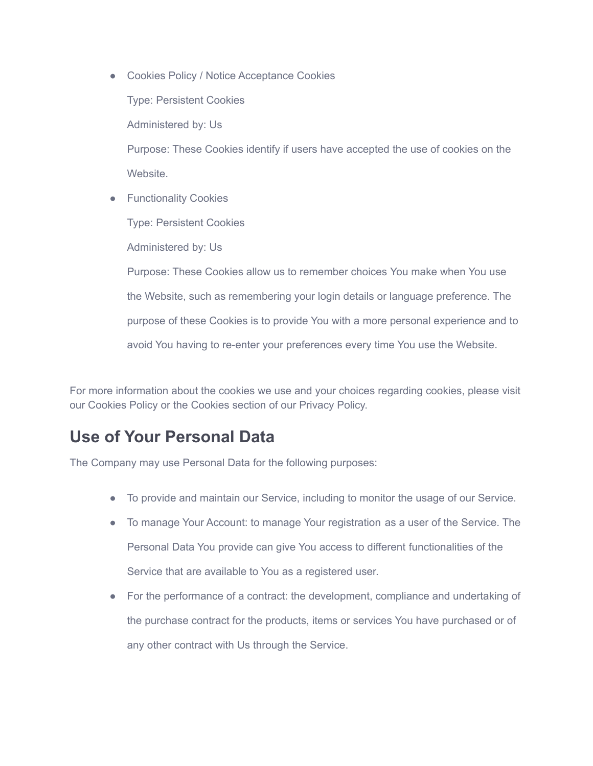● Cookies Policy / Notice Acceptance Cookies

Type: Persistent Cookies

Administered by: Us

Purpose: These Cookies identify if users have accepted the use of cookies on the Website.

**•** Functionality Cookies

Type: Persistent Cookies

Administered by: Us

Purpose: These Cookies allow us to remember choices You make when You use the Website, such as remembering your login details or language preference. The purpose of these Cookies is to provide You with a more personal experience and to avoid You having to re-enter your preferences every time You use the Website.

For more information about the cookies we use and your choices regarding cookies, please visit our Cookies Policy or the Cookies section of our Privacy Policy.

#### **Use of Your Personal Data**

The Company may use Personal Data for the following purposes:

- To provide and maintain our Service, including to monitor the usage of our Service.
- To manage Your Account: to manage Your registration as a user of the Service. The Personal Data You provide can give You access to different functionalities of the Service that are available to You as a registered user.
- For the performance of a contract: the development, compliance and undertaking of the purchase contract for the products, items or services You have purchased or of any other contract with Us through the Service.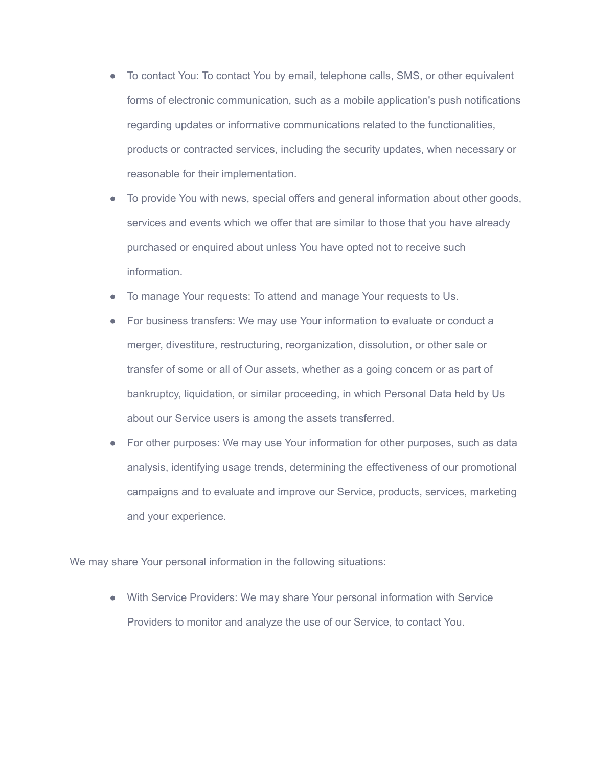- To contact You: To contact You by email, telephone calls, SMS, or other equivalent forms of electronic communication, such as a mobile application's push notifications regarding updates or informative communications related to the functionalities, products or contracted services, including the security updates, when necessary or reasonable for their implementation.
- To provide You with news, special offers and general information about other goods, services and events which we offer that are similar to those that you have already purchased or enquired about unless You have opted not to receive such information.
- To manage Your requests: To attend and manage Your requests to Us.
- For business transfers: We may use Your information to evaluate or conduct a merger, divestiture, restructuring, reorganization, dissolution, or other sale or transfer of some or all of Our assets, whether as a going concern or as part of bankruptcy, liquidation, or similar proceeding, in which Personal Data held by Us about our Service users is among the assets transferred.
- For other purposes: We may use Your information for other purposes, such as data analysis, identifying usage trends, determining the effectiveness of our promotional campaigns and to evaluate and improve our Service, products, services, marketing and your experience.

We may share Your personal information in the following situations:

• With Service Providers: We may share Your personal information with Service Providers to monitor and analyze the use of our Service, to contact You.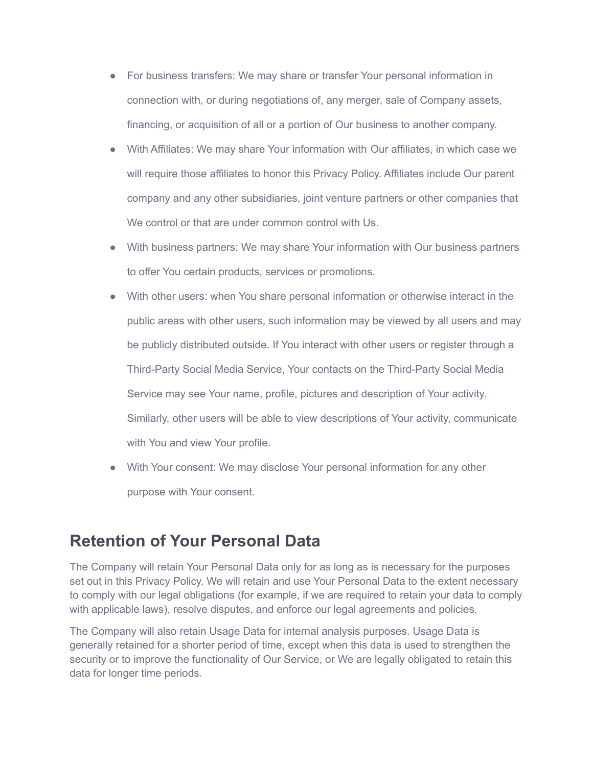- For business transfers: We may share or transfer Your personal information in connection with, or during negotiations of, any merger, sale of Company assets, financing, or acquisition of all or a portion of Our business to another company.
- With Affiliates: We may share Your information with Our affiliates, in which case we will require those affiliates to honor this Privacy Policy. Affiliates include Our parent company and any other subsidiaries, joint venture partners or other companies that We control or that are under common control with Us.
- With business partners: We may share Your information with Our business partners to offer You certain products, services or promotions.
- With other users: when You share personal information or otherwise interact in the public areas with other users, such information may be viewed by all users and may be publicly distributed outside. If You interact with other users or register through a Third-Party Social Media Service, Your contacts on the Third-Party Social Media Service may see Your name, profile, pictures and description of Your activity. Similarly, other users will be able to view descriptions of Your activity, communicate with You and view Your profile.
- With Your consent: We may disclose Your personal information for any other purpose with Your consent.

#### **Retention of Your Personal Data**

The Company will retain Your Personal Data only for as long as is necessary for the purposes set out in this Privacy Policy. We will retain and use Your Personal Data to the extent necessary to comply with our legal obligations (for example, if we are required to retain your data to comply with applicable laws), resolve disputes, and enforce our legal agreements and policies.

The Company will also retain Usage Data for internal analysis purposes. Usage Data is generally retained for a shorter period of time, except when this data is used to strengthen the security or to improve the functionality of Our Service, or We are legally obligated to retain this data for longer time periods.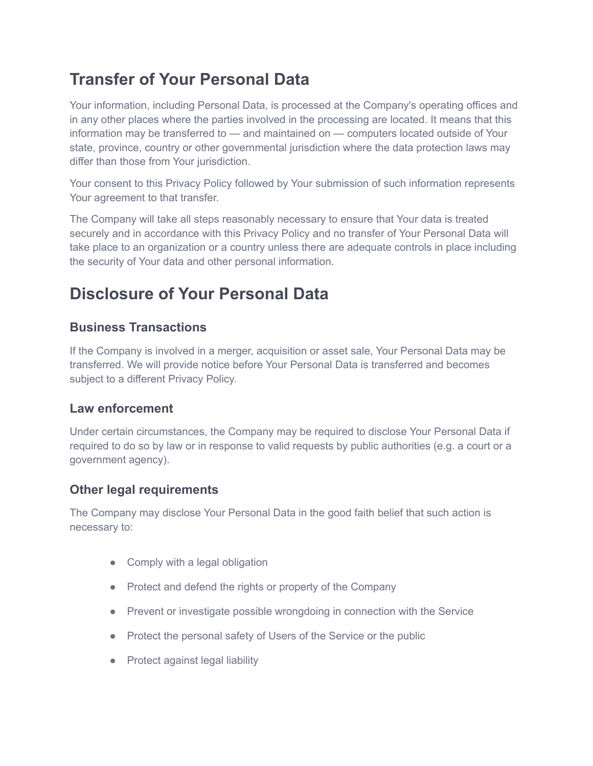## **Transfer of Your Personal Data**

Your information, including Personal Data, is processed at the Company's operating offices and in any other places where the parties involved in the processing are located. It means that this information may be transferred to — and maintained on — computers located outside of Your state, province, country or other governmental jurisdiction where the data protection laws may differ than those from Your jurisdiction.

Your consent to this Privacy Policy followed by Your submission of such information represents Your agreement to that transfer.

The Company will take all steps reasonably necessary to ensure that Your data is treated securely and in accordance with this Privacy Policy and no transfer of Your Personal Data will take place to an organization or a country unless there are adequate controls in place including the security of Your data and other personal information.

### **Disclosure of Your Personal Data**

#### **Business Transactions**

If the Company is involved in a merger, acquisition or asset sale, Your Personal Data may be transferred. We will provide notice before Your Personal Data is transferred and becomes subject to a different Privacy Policy.

#### **Law enforcement**

Under certain circumstances, the Company may be required to disclose Your Personal Data if required to do so by law or in response to valid requests by public authorities (e.g. a court or a government agency).

#### **Other legal requirements**

The Company may disclose Your Personal Data in the good faith belief that such action is necessary to:

- Comply with a legal obligation
- Protect and defend the rights or property of the Company
- Prevent or investigate possible wrongdoing in connection with the Service
- Protect the personal safety of Users of the Service or the public
- Protect against legal liability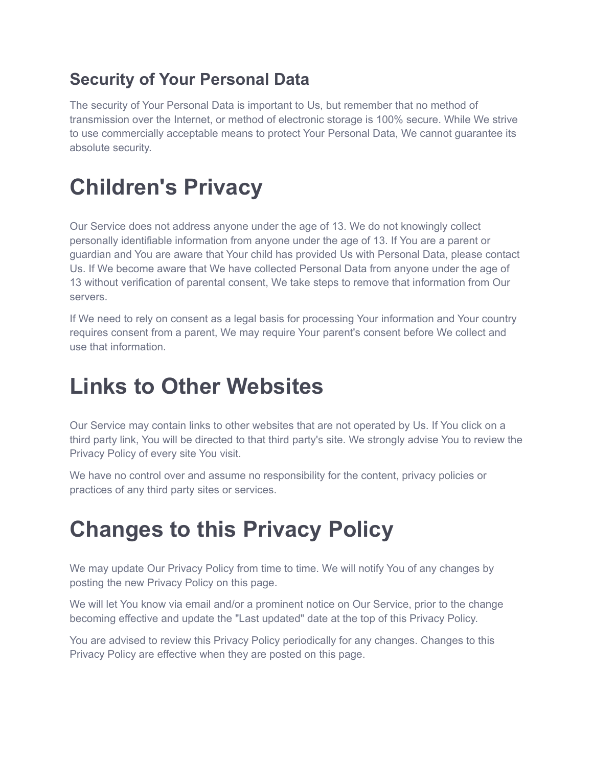### **Security of Your Personal Data**

The security of Your Personal Data is important to Us, but remember that no method of transmission over the Internet, or method of electronic storage is 100% secure. While We strive to use commercially acceptable means to protect Your Personal Data, We cannot guarantee its absolute security.

# **Children's Privacy**

Our Service does not address anyone under the age of 13. We do not knowingly collect personally identifiable information from anyone under the age of 13. If You are a parent or guardian and You are aware that Your child has provided Us with Personal Data, please contact Us. If We become aware that We have collected Personal Data from anyone under the age of 13 without verification of parental consent, We take steps to remove that information from Our servers.

If We need to rely on consent as a legal basis for processing Your information and Your country requires consent from a parent, We may require Your parent's consent before We collect and use that information.

# **Links to Other Websites**

Our Service may contain links to other websites that are not operated by Us. If You click on a third party link, You will be directed to that third party's site. We strongly advise You to review the Privacy Policy of every site You visit.

We have no control over and assume no responsibility for the content, privacy policies or practices of any third party sites or services.

# **Changes to this Privacy Policy**

We may update Our Privacy Policy from time to time. We will notify You of any changes by posting the new Privacy Policy on this page.

We will let You know via email and/or a prominent notice on Our Service, prior to the change becoming effective and update the "Last updated" date at the top of this Privacy Policy.

You are advised to review this Privacy Policy periodically for any changes. Changes to this Privacy Policy are effective when they are posted on this page.